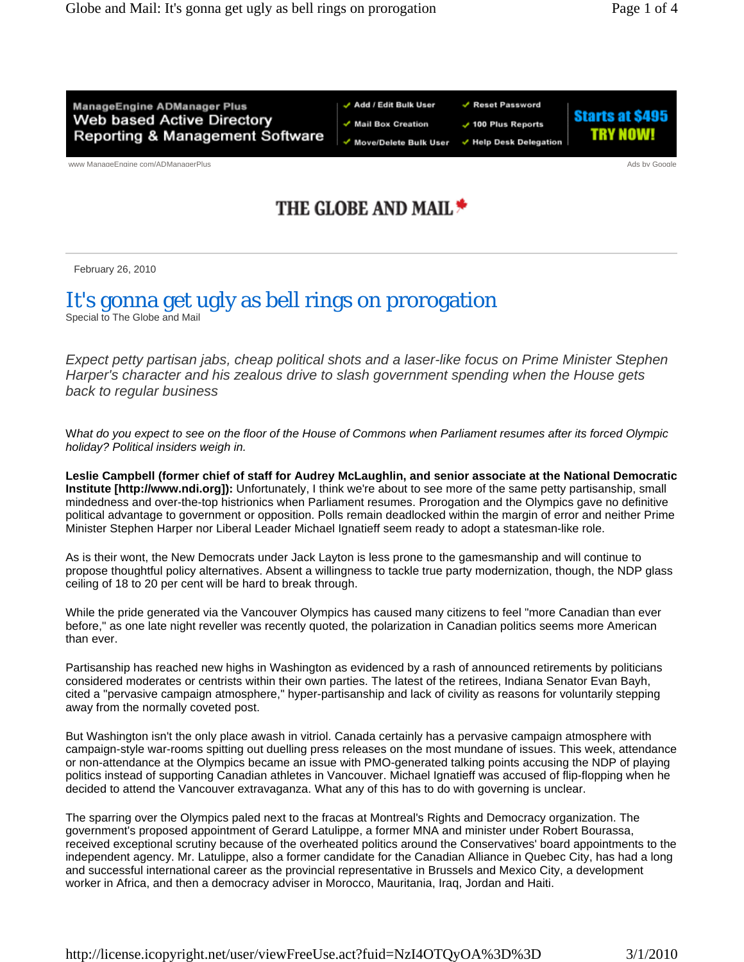

www.ManageEngine.com/ADManagerPlus Ads by Google Ads by Google Ads by Google Ads by Google Ads by Google Ads by Google

## THE GLOBE AND MAIL \*

February 26, 2010

## It's gonna get ugly as bell rings on prorogation Special to The Globe and Mail

*Expect petty partisan jabs, cheap political shots and a laser-like focus on Prime Minister Stephen Harper's character and his zealous drive to slash government spending when the House gets back to regular business* 

W*hat do you expect to see on the floor of the House of Commons when Parliament resumes after its forced Olympic holiday? Political insiders weigh in.*

**Leslie Campbell (former chief of staff for Audrey McLaughlin, and senior associate at the National Democratic Institute [http://www.ndi.org]):** Unfortunately, I think we're about to see more of the same petty partisanship, small mindedness and over-the-top histrionics when Parliament resumes. Prorogation and the Olympics gave no definitive political advantage to government or opposition. Polls remain deadlocked within the margin of error and neither Prime Minister Stephen Harper nor Liberal Leader Michael Ignatieff seem ready to adopt a statesman-like role.

As is their wont, the New Democrats under Jack Layton is less prone to the gamesmanship and will continue to propose thoughtful policy alternatives. Absent a willingness to tackle true party modernization, though, the NDP glass ceiling of 18 to 20 per cent will be hard to break through.

While the pride generated via the Vancouver Olympics has caused many citizens to feel "more Canadian than ever before," as one late night reveller was recently quoted, the polarization in Canadian politics seems more American than ever.

Partisanship has reached new highs in Washington as evidenced by a rash of announced retirements by politicians considered moderates or centrists within their own parties. The latest of the retirees, Indiana Senator Evan Bayh, cited a "pervasive campaign atmosphere," hyper-partisanship and lack of civility as reasons for voluntarily stepping away from the normally coveted post.

But Washington isn't the only place awash in vitriol. Canada certainly has a pervasive campaign atmosphere with campaign-style war-rooms spitting out duelling press releases on the most mundane of issues. This week, attendance or non-attendance at the Olympics became an issue with PMO-generated talking points accusing the NDP of playing politics instead of supporting Canadian athletes in Vancouver. Michael Ignatieff was accused of flip-flopping when he decided to attend the Vancouver extravaganza. What any of this has to do with governing is unclear.

The sparring over the Olympics paled next to the fracas at Montreal's Rights and Democracy organization. The government's proposed appointment of Gerard Latulippe, a former MNA and minister under Robert Bourassa, received exceptional scrutiny because of the overheated politics around the Conservatives' board appointments to the independent agency. Mr. Latulippe, also a former candidate for the Canadian Alliance in Quebec City, has had a long and successful international career as the provincial representative in Brussels and Mexico City, a development worker in Africa, and then a democracy adviser in Morocco, Mauritania, Iraq, Jordan and Haiti.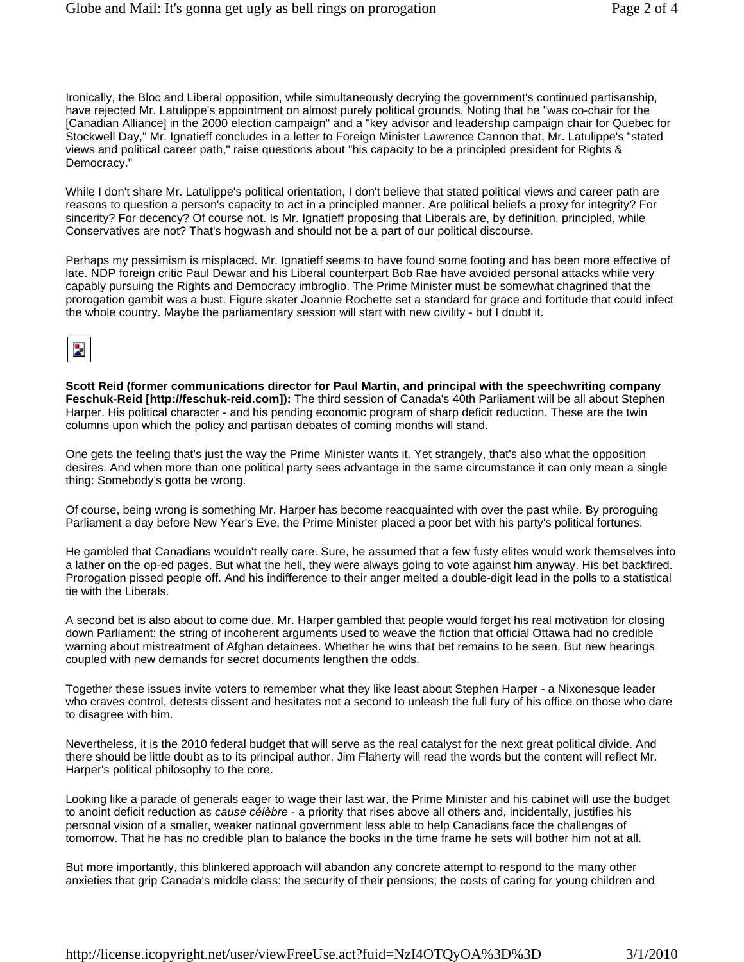Ironically, the Bloc and Liberal opposition, while simultaneously decrying the government's continued partisanship, have rejected Mr. Latulippe's appointment on almost purely political grounds. Noting that he "was co-chair for the [Canadian Alliance] in the 2000 election campaign" and a "key advisor and leadership campaign chair for Quebec for Stockwell Day," Mr. Ignatieff concludes in a letter to Foreign Minister Lawrence Cannon that, Mr. Latulippe's "stated views and political career path," raise questions about "his capacity to be a principled president for Rights & Democracy."

While I don't share Mr. Latulippe's political orientation, I don't believe that stated political views and career path are reasons to question a person's capacity to act in a principled manner. Are political beliefs a proxy for integrity? For sincerity? For decency? Of course not. Is Mr. Ignatieff proposing that Liberals are, by definition, principled, while Conservatives are not? That's hogwash and should not be a part of our political discourse.

Perhaps my pessimism is misplaced. Mr. Ignatieff seems to have found some footing and has been more effective of late. NDP foreign critic Paul Dewar and his Liberal counterpart Bob Rae have avoided personal attacks while very capably pursuing the Rights and Democracy imbroglio. The Prime Minister must be somewhat chagrined that the prorogation gambit was a bust. Figure skater Joannie Rochette set a standard for grace and fortitude that could infect the whole country. Maybe the parliamentary session will start with new civility - but I doubt it.

**Scott Reid (former communications director for Paul Martin, and principal with the speechwriting company Feschuk-Reid [http://feschuk-reid.com]):** The third session of Canada's 40th Parliament will be all about Stephen Harper. His political character - and his pending economic program of sharp deficit reduction. These are the twin columns upon which the policy and partisan debates of coming months will stand.

One gets the feeling that's just the way the Prime Minister wants it. Yet strangely, that's also what the opposition desires. And when more than one political party sees advantage in the same circumstance it can only mean a single thing: Somebody's gotta be wrong.

Of course, being wrong is something Mr. Harper has become reacquainted with over the past while. By proroguing Parliament a day before New Year's Eve, the Prime Minister placed a poor bet with his party's political fortunes.

He gambled that Canadians wouldn't really care. Sure, he assumed that a few fusty elites would work themselves into a lather on the op-ed pages. But what the hell, they were always going to vote against him anyway. His bet backfired. Prorogation pissed people off. And his indifference to their anger melted a double-digit lead in the polls to a statistical tie with the Liberals.

A second bet is also about to come due. Mr. Harper gambled that people would forget his real motivation for closing down Parliament: the string of incoherent arguments used to weave the fiction that official Ottawa had no credible warning about mistreatment of Afghan detainees. Whether he wins that bet remains to be seen. But new hearings coupled with new demands for secret documents lengthen the odds.

Together these issues invite voters to remember what they like least about Stephen Harper - a Nixonesque leader who craves control, detests dissent and hesitates not a second to unleash the full fury of his office on those who dare to disagree with him.

Nevertheless, it is the 2010 federal budget that will serve as the real catalyst for the next great political divide. And there should be little doubt as to its principal author. Jim Flaherty will read the words but the content will reflect Mr. Harper's political philosophy to the core.

Looking like a parade of generals eager to wage their last war, the Prime Minister and his cabinet will use the budget to anoint deficit reduction as *cause célèbre* - a priority that rises above all others and, incidentally, justifies his personal vision of a smaller, weaker national government less able to help Canadians face the challenges of tomorrow. That he has no credible plan to balance the books in the time frame he sets will bother him not at all.

But more importantly, this blinkered approach will abandon any concrete attempt to respond to the many other anxieties that grip Canada's middle class: the security of their pensions; the costs of caring for young children and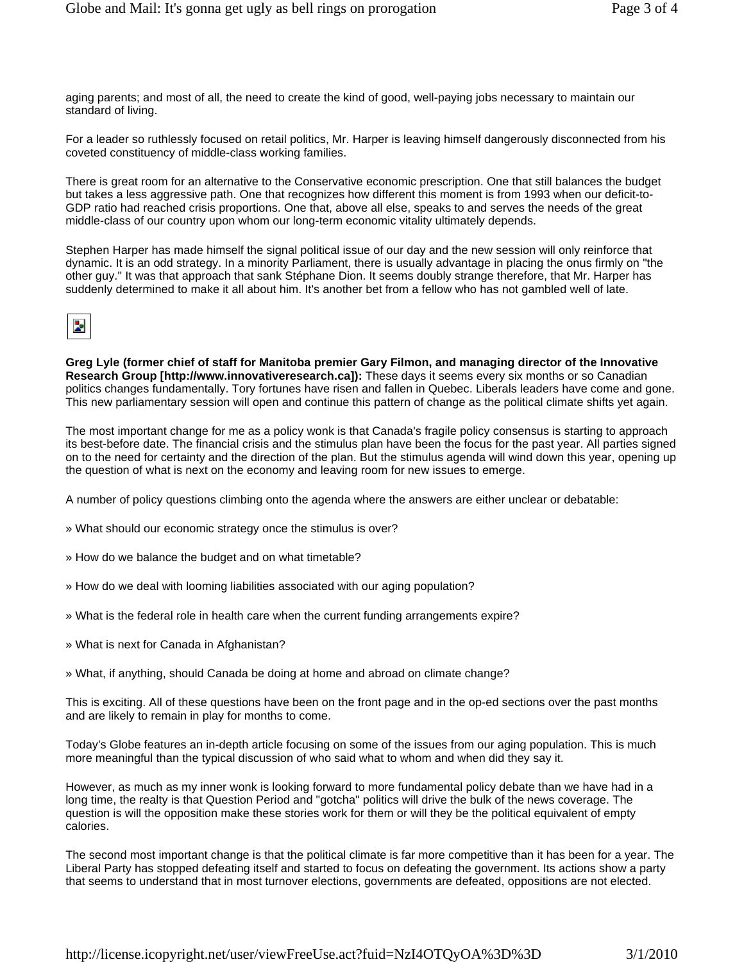aging parents; and most of all, the need to create the kind of good, well-paying jobs necessary to maintain our standard of living.

For a leader so ruthlessly focused on retail politics, Mr. Harper is leaving himself dangerously disconnected from his coveted constituency of middle-class working families.

There is great room for an alternative to the Conservative economic prescription. One that still balances the budget but takes a less aggressive path. One that recognizes how different this moment is from 1993 when our deficit-to-GDP ratio had reached crisis proportions. One that, above all else, speaks to and serves the needs of the great middle-class of our country upon whom our long-term economic vitality ultimately depends.

Stephen Harper has made himself the signal political issue of our day and the new session will only reinforce that dynamic. It is an odd strategy. In a minority Parliament, there is usually advantage in placing the onus firmly on "the other guy." It was that approach that sank Stéphane Dion. It seems doubly strange therefore, that Mr. Harper has suddenly determined to make it all about him. It's another bet from a fellow who has not gambled well of late.



**Greg Lyle (former chief of staff for Manitoba premier Gary Filmon, and managing director of the Innovative Research Group [http://www.innovativeresearch.ca]):** These days it seems every six months or so Canadian politics changes fundamentally. Tory fortunes have risen and fallen in Quebec. Liberals leaders have come and gone. This new parliamentary session will open and continue this pattern of change as the political climate shifts yet again.

The most important change for me as a policy wonk is that Canada's fragile policy consensus is starting to approach its best-before date. The financial crisis and the stimulus plan have been the focus for the past year. All parties signed on to the need for certainty and the direction of the plan. But the stimulus agenda will wind down this year, opening up the question of what is next on the economy and leaving room for new issues to emerge.

A number of policy questions climbing onto the agenda where the answers are either unclear or debatable:

- » What should our economic strategy once the stimulus is over?
- » How do we balance the budget and on what timetable?
- » How do we deal with looming liabilities associated with our aging population?
- » What is the federal role in health care when the current funding arrangements expire?
- » What is next for Canada in Afghanistan?
- » What, if anything, should Canada be doing at home and abroad on climate change?

This is exciting. All of these questions have been on the front page and in the op-ed sections over the past months and are likely to remain in play for months to come.

Today's Globe features an in-depth article focusing on some of the issues from our aging population. This is much more meaningful than the typical discussion of who said what to whom and when did they say it.

However, as much as my inner wonk is looking forward to more fundamental policy debate than we have had in a long time, the realty is that Question Period and "gotcha" politics will drive the bulk of the news coverage. The question is will the opposition make these stories work for them or will they be the political equivalent of empty calories.

The second most important change is that the political climate is far more competitive than it has been for a year. The Liberal Party has stopped defeating itself and started to focus on defeating the government. Its actions show a party that seems to understand that in most turnover elections, governments are defeated, oppositions are not elected.